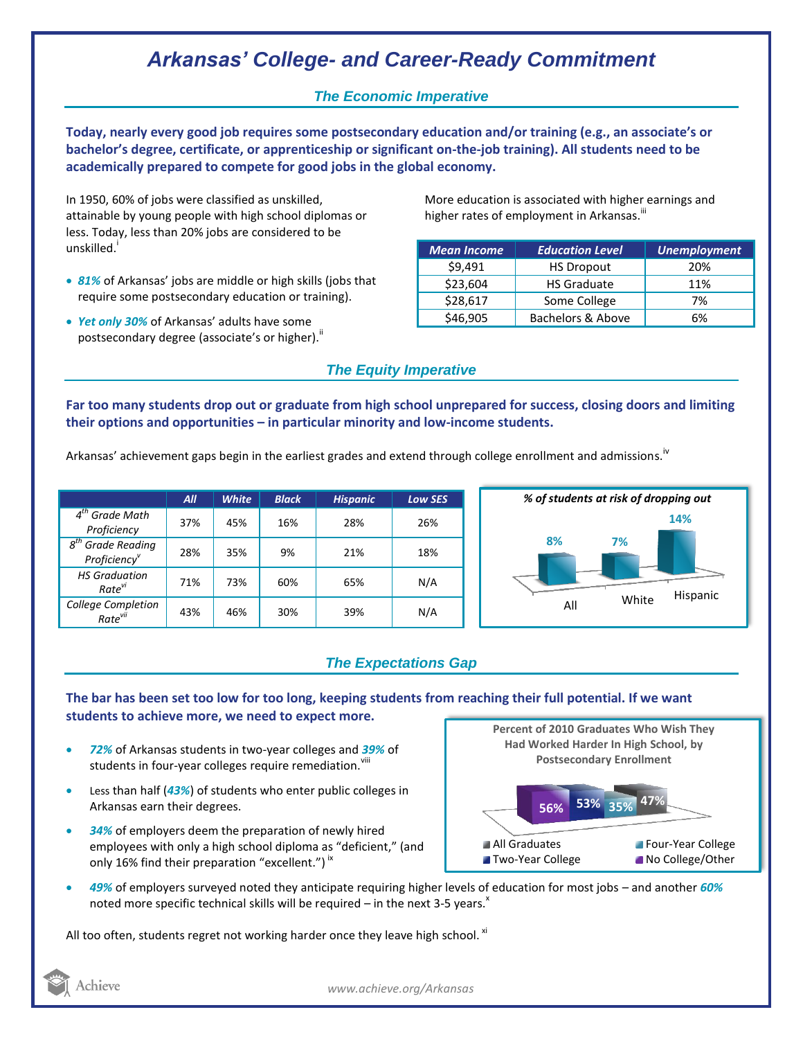# *Arkansas' College- and Career-Ready Commitment*

## *The Economic Imperative*

**Today, nearly every good job requires some postsecondary education and/or training (e.g., an associate's or bachelor's degree, certificate, or apprenticeship or significant on-the-job training). All students need to be academically prepared to compete for good jobs in the global economy.**

In 1950, 60% of jobs were classified as unskilled, attainable by young people with high school diplomas or less. Today, less than 20% jobs are considered to be unskilled.<sup>i</sup>

- *81%* of Arkansas' jobs are middle or high skills (jobs that require some postsecondary education or training).
- *Yet only 30%* of Arkansas' adults have some postsecondary degree (associate's or higher)."

More education is associated with higher earnings and higher rates of employment in Arkansas.<sup>""</sup>

| <b>Mean Income</b> | <b>Education Level</b> | <b>Unemployment</b> |
|--------------------|------------------------|---------------------|
| \$9,491            | <b>HS Dropout</b>      | 20%                 |
| \$23,604           | <b>HS Graduate</b>     | 11%                 |
| \$28,617           | Some College           | 7%                  |
| \$46,905           | Bachelors & Above      | 6%                  |

## *The Equity Imperative*

**Far too many students drop out or graduate from high school unprepared for success, closing doors and limiting their options and opportunities – in particular minority and low-income students.** 

Arkansas' achievement gaps begin in the earliest grades and extend through college enrollment and admissions.<sup>iv</sup>

|                                                              | AII | <b>White</b> | <b>Black</b> | <b>Hispanic</b> | <b>Low SES</b> |
|--------------------------------------------------------------|-----|--------------|--------------|-----------------|----------------|
| $4th$ Grade Math<br>Proficiency                              | 37% | 45%          | 16%          | 28%             | 26%            |
| $g^{th}$<br><b>Grade Reading</b><br>Proficiency <sup>v</sup> | 28% | 35%          | 9%           | 21%             | 18%            |
| <b>HS Graduation</b><br>Rate <sup>vi</sup>                   | 71% | 73%          | 60%          | 65%             | N/A            |
| <b>College Completion</b><br>Rate <sup>vii</sup>             | 43% | 46%          | 30%          | 39%             | N/A            |



## *The Expectations Gap*

**The bar has been set too low for too long, keeping students from reaching their full potential. If we want students to achieve more, we need to expect more.**

- *72%* of Arkansas students in two-year colleges and *39%* of students in four-year colleges require remediation. Vill
- Less than half (*43%*) of students who enter public colleges in Arkansas earn their degrees.
- *34%* of employers deem the preparation of newly hired employees with only a high school diploma as "deficient," (and only 16% find their preparation "excellent.")<sup>ix</sup>

**47% 56% 53% 35% Percent of 2010 Graduates Who Wish They Had Worked Harder In High School, by Postsecondary Enrollment** All Graduates **Four-Year College Two-Year College No College/Other** 

 *49%* of employers surveyed noted they anticipate requiring higher levels of education for most jobs – and another *60%* noted more specific technical skills will be required – in the next 3-5 years.<sup> $x$ </sup>

All too often, students regret not working harder once they leave high school.  $x_i$ 

*www.achieve.org/Arkansas*